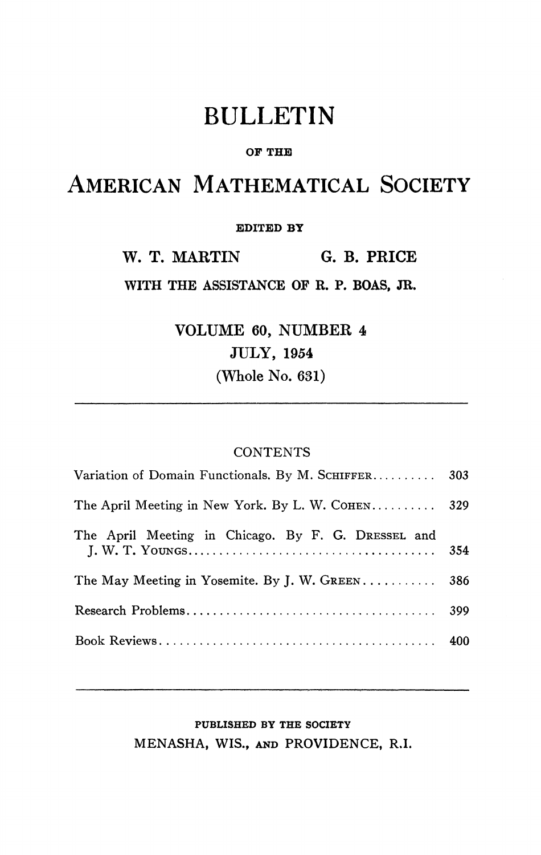# BULLETIN

#### **OF THE**

## AMERICAN MATHEMATICAL SOCIETY

#### **EDITED BY**

**W. T. MARTIN G. B. PRICE** 

**WITH THE ASSISTANCE OF R. P. BOAS, JR.** 

**VOLUME 60, NUMBER 4 JULY, 1954 (Whole No. 631)** 

### **CONTENTS**

| Variation of Domain Functionals. By M. SCHIFFER 303 |     |
|-----------------------------------------------------|-----|
| The April Meeting in New York. By L. W. COHEN 329   |     |
| The April Meeting in Chicago. By F. G. DRESSEL and  | 354 |
| The May Meeting in Yosemite. By J. W. GREEN 386     |     |
|                                                     |     |
|                                                     |     |

### **PUBLISHED BY THE SOCIETY MENASHA, WIS., AND PROVIDENCE, R.I.**